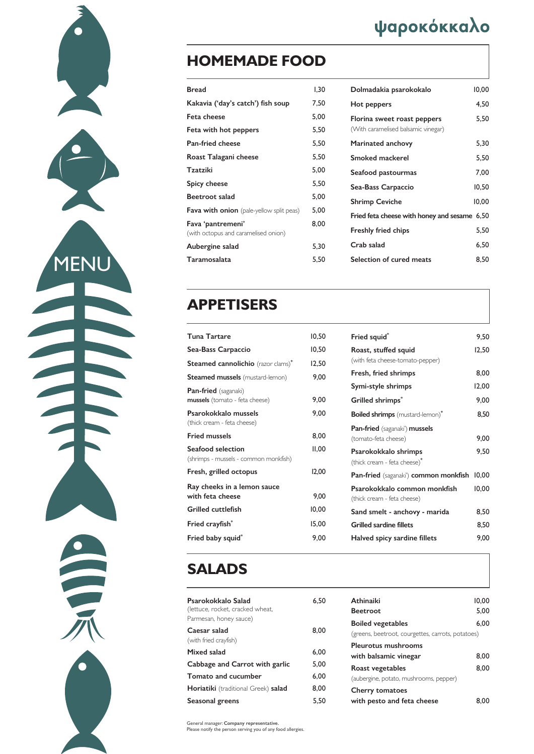#### **APPETISERS**

| <b>Tuna Tartare</b>                    | 10,50 |
|----------------------------------------|-------|
| Sea-Bass Carpaccio                     | 10,50 |
| Steamed cannolichio (razor clams)*     | 12,50 |
| <b>Steamed mussels</b> (mustard-lemon) | 9,00  |
| <b>Pan-fried</b> (saganaki)            |       |
| mussels (tomato - feta cheese)         | 9,00  |
| Psarokokkalo mussels                   | 9,00  |
| (thick cream - feta cheese)            |       |
| <b>Fried mussels</b>                   | 8,00  |
| Seafood selection                      | II,00 |
| (shrimps - mussels - common monkfish)  |       |
| Fresh, grilled octopus                 | 12,00 |
| Ray cheeks in a lemon sauce            |       |
| with feta cheese                       | 9,00  |
| <b>Grilled cuttlefish</b>              | 10,00 |
| Fried crayfish*                        | 15,00 |
| Fried baby squid*                      | 9,00  |

| Fried squid*                                                        | 9,50  |
|---------------------------------------------------------------------|-------|
| Roast, stuffed squid<br>(with feta cheese-tomato-pepper)            | 12,50 |
| Fresh, fried shrimps                                                | 8,00  |
| Symi-style shrimps                                                  | 12,00 |
| Grilled shrimps*                                                    | 9,00  |
| <b>Boiled shrimps</b> (mustard-lemon)*                              | 8,50  |
| <b>Pan-fried</b> (saganaki') <b>mussels</b><br>(tomato-feta cheese) | 9,00  |
| Psarokokkalo shrimps<br>(thick cream - feta cheese)*                | 9,50  |
| Pan-fried (saganaki') common monkfish                               | 10,00 |
| Psarokokkalo common monkfish<br>(thick cream - feta cheese)         | 10,00 |
| Sand smelt - anchovy - marida                                       | 8,50  |
| <b>Grilled sardine fillets</b>                                      | 8,50  |
| Halved spicy sardine fillets                                        | 9,00  |

#### **SALADS**



**MENU** 

3

| Psarokokkalo Salad<br>(lettuce, rocket, cracked wheat,<br>Parmesan, honey sauce) | 6.50 |
|----------------------------------------------------------------------------------|------|
| Caesar salad<br>(with fried crayfish)                                            | 8,00 |
| Mixed salad                                                                      | 6,00 |
| Cabbage and Carrot with garlic                                                   | 5,00 |
| <b>Tomato and cucumber</b>                                                       | 6,00 |
| Horiatiki (traditional Greek) salad                                              | 8.00 |

| Seasonal greens | 5,50 |
|-----------------|------|

| <b>Athinaiki</b>                                  | 10,00 |
|---------------------------------------------------|-------|
| <b>Beetroot</b>                                   | 5,00  |
| <b>Boiled vegetables</b>                          | 6,00  |
| (greens, beetroot, courgettes, carrots, potatoes) |       |
| <b>Pleurotus mushrooms</b>                        |       |
| with balsamic vinegar                             | 8,00  |
| Roast vegetables                                  | 8,00  |
| (aubergine, potato, mushrooms, pepper)            |       |
| <b>Cherry tomatoes</b>                            |       |
| with pesto and feta cheese                        |       |

# ψαροκόκκαλο

### **HOMEMADE FOOD**

| <b>Bread</b>                                              | 1,30 |
|-----------------------------------------------------------|------|
| Kakavia ('day's catch') fish soup                         | 7,50 |
| Feta cheese                                               | 5,00 |
| Feta with hot peppers                                     | 5,50 |
| <b>Pan-fried cheese</b>                                   | 5,50 |
| Roast Talagani cheese                                     | 5,50 |
| <b>Tzatziki</b>                                           | 5,00 |
| <b>Spicy cheese</b>                                       | 5,50 |
| Beetroot salad                                            | 5,00 |
| <b>Fava with onion</b> (pale-yellow split peas)           | 5,00 |
| Fava 'pantremeni'<br>(with octopus and caramelised onion) | 8,00 |
| Aubergine salad                                           | 5,30 |
| Taramosalata                                              | 5,50 |

| Dolmadakia psarokokalo                                             | 10,00 |
|--------------------------------------------------------------------|-------|
| Hot peppers                                                        | 4,50  |
| Florina sweet roast peppers<br>(With caramelised balsamic vinegar) | 5,50  |
| <b>Marinated anchovy</b>                                           | 5,30  |
| <b>Smoked mackerel</b>                                             | 5,50  |
| Seafood pastourmas                                                 | 7,00  |
| Sea-Bass Carpaccio                                                 | 10,50 |
| <b>Shrimp Ceviche</b>                                              | 10,00 |
| Fried feta cheese with honey and sesame 6,50                       |       |
| <b>Freshly fried chips</b>                                         | 5,50  |
| Crab salad                                                         | 6,50  |
| Selection of cured meats                                           | 8,50  |

General manager: Company representative. Please notify the person serving you of any food allergies.